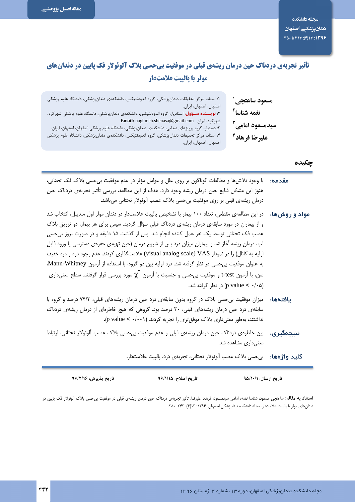# **تأثیر تجربهی دردناک حین درمان ریشهی قبلی در موفقیت بیحسی بلاک آلوئولار فک پایین در دندانهای** مولر با پالیت علامتدار

| ۱: استاد، مرکز تحقیقات دندانپزشکی، گروه اندودنتیکس، دانشکدهی دندانپزشکی، دانشگاه علوم پزشکی<br>اصفهان، اصفهان، ايران. | مسعود ساعتچی ٔ            |
|-----------------------------------------------------------------------------------------------------------------------|---------------------------|
| ۲: <b>نویسنده مسؤول:</b> استادیار، گروه اندودنتیکس، دانشکدهی دندانپزشکی، دانشگاه علوم پزشکی شهر کرد،                  | نغمه شناسا <sup>۲</sup>   |
| Email: naghmeh.shenasa@gmail.com شهر کرد، ایران.                                                                      | سیدمسعود امامی آ          |
| ۳: دستیار، گروه پروتزهای دندانی، دانشکدهی دندانپزشکی، دانشگاه علوم پزشکی اصفهان، اصفهان، ایران.                       |                           |
| ۴: استاد، مرکز تحقیقات دندانپزشکی، گروه اندودنتیکس، دانشکدهی دندانپزشکی، دانشگاه علوم پزشکی                           | عليرضا فرهاد <sup>9</sup> |
| اصفهان، اصفهان، ايران.                                                                                                |                           |
|                                                                                                                       |                           |

## چکیده

- **مقدمه:** با وجود تلاش ها و مطالعات گوناگون بر روی علل و عوامل مؤثر در عدم موفقیت بی حسی بلاک فک تحتانی، هنوز این مشکل شایع حین درمان ریشه وجود دارد. هدف از این مطالعه، بررسی تأثیر تجربهی دردناک حین درمان ریشەی قبلی بر روی موفقیت بی حسی بلاک عصب آلوئولار تحتانی می باشد.
- **مواد و روشها:** در این مطالعهی مقطعی، تعداد ۱۰۰ بیمار با تشخیص پالپیت علامتدار در دندان مولر اول مندیبل، انتخاب شد و از بیماران در مورد سابقهی درمان ریشهی دردناک قبلی سؤال گردید. سپس برای هر بیمار، دو تزریق بلاک عصب فک تحتانی توسط یک نفر عمل کننده انجام شد. پس از گذشت ۱۵ دقیقه و در صورت بروز بی حسی لب، درمان ریشه آغاز شد و بیماران میزان درد پس از شروع درمان (حین تهیهی حفرهی دسترسی یا ورود فایل اولیه به کانال) را در نمودار visual analog scale) VAS) علامتگذاری کردند. عدم وجود درد و درد خفیف به عنوان موفقیت بی حسی در نظر گرفته شد. درد اولیه بین دو گروه، با استفاده از آزمون Mann-Whitney، سن، با آزمون t-test و موفقیت بی⊂سی و جنسیت با آزمون  $\chi^\mathrm{Y}$  مورد بررسی قرار گرفتند. سطح معنیداری (p value <  $\cdot$ /۰۵) در نظر گرفته شد.
- **پافتدهها:** میزان موفقیت بی حسی بلاک در گروه بدون سابقهی درد چین درمان ریشههای قبلی، ۷۴/۳ درصد و گروه با سابقهی درد حین درمان ریشههای قبلی، ۳۰ درصد بود. گروهی که هیچ خاطرهای از درمان ریشهی دردناک نداشتند، بهطور معنی داری بلاک موفق تری را تجربه کردند. (p value < ./ ...).
- نتیجهگیری: بین خاطرهی دردناک حین درمان ریشهی قبلی و عدم موفقیت بی حسی بلاک عصب آلوئولار تحتانی، ارتباط معنے داری مشاهده شد.

كليد واژهها: ب<sub>ي حسى</sub> بلاک عصب آلوئولار تحتاني، تجربه ي درد، پالپيت علامتدار.

| تاريخ پذيرش: ۹۶/۲/۱۶ | تاريخ اصلاح: ٩٦/١/١٥ | تاریخ ارسال: ۹۵/۱۰/۱ |
|----------------------|----------------------|----------------------|
|                      |                      |                      |

**استناد به مقاله:** ساعتچی مسعود، شناسا نغمه، امامی سیدمسعود، فرهاد علیرضا. تأثیر تجربهی در مانی یسی واسعی بین مسی بلاک آلوئولار فک پایین در دندان های مولر با پالپیت علامتدار. مجله دانشکده دندانپزشکی اصفهان. ۱۳۹۶: ۱۳(۴): ۳۴۳–۳۵۰.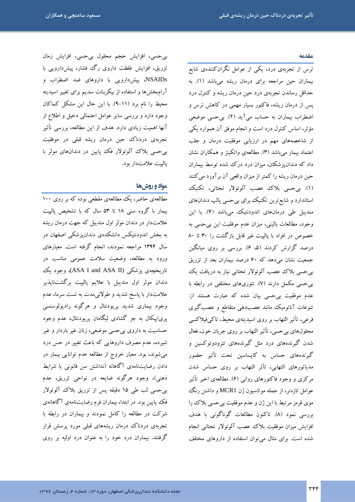#### مقدمه

ترس از تجربهی درد، یکی از عوامل نگرانکنندهی شایع بیماران حین مراجعه برای درمان ریشه میباشد (۱). به حداقل رساندن تجربهى درد حين درمان ريشه وكنترل درد یس از درمان ریشه، فاکتور بسیار مهمی در کاهش ترس و اضطراب بیماران به حساب میآید (۲). بیحسی موضعی مؤثر، اساس کنترل درد است و انجام موفق آن همواره یکی از شاخصههای مهم در ارزیابی موفقیت درمان و جلب اعتماد بیمار میباشد (۳). مطالعهی واتکینز و همکاران نشان داد که دندانپزشکان، میزان درد درک شده توسط بیماران حین درمان ریشه را کمتر از میزان واقعی آن برآورد می کنند (۱). بیحسی بلاک عصب آلوئولار تحتانی، تکنیک استاندارد و شایع ترین تکنیک برای بیحسی پالپ دندانهای مندیبل طی درمانهای اندودنتیک میباشد (۴). با این وجود، مطالعات بالینی، میزان عدم موفقیت این بیحسی به خصوص در افراد با پالپیت غیر قابل بازگشت را ۳۰ تا ۸۰ درصد گزارش کردند (۵، ۶). بررسی بر روی میانگین جمعیت نشان می دهد که ۶۰ درصد بیماران بعد از تزریق بی حسی بلاک عصب آلوئولار تحتانی نیاز به دریافت یک بی حسی مکمل دارند (۷). تئوریهای مختلفی در رابطه با عدم موفقیت بیحسی بیان شده که عبارت هستند از: تنوعات آناتومیک مانند عصبدهی متقاطع و عصب گیری فرعی، تأثیر التهاب بر روی اسیدیتهی محیط، تاکیفیلاکسی محلولهای بیحسی، تأثیر التهاب بر روی جریان خون، فعال .<br>شدن گیرندههای درد مثل گیرندههای تترودوتوکسین و گیرندههای حساس به کاپساسین تحت تأثیر حضور مدیاتورهای التهابی، تأثر التهاب بر روی حساس شدن مرکزی و وجود فاکتورهای روانی (۶). مطالعهی اخیر تأثیر عوامل تازهتر، از جمله موتاسیون ژن MCR1 و داشتن رنگ<sup>ی</sup> موی قرمز مرتبط با این ژن و عدم موفقیت بیحسی بلاک را بررسي نمود (٨). تاكنون مطالعات گوناگونی با هدف افزايش ميزان موفقيت بلاك عصب آلوئولار تحتاني انجام شده است. برای مثال میتوان استفاده از داروهای مختلف

بی حسی، افزایش حجم محلول بی حسی، افزایش زمان تزریق، افزایش غلظت داروی رگ فشار، پیشدارویی با NSAIDs، پیش دارویی با داروهای ضد اضطراب و آرامبخشها و استفاده از بیکربنات سدیم برای تغییر اسیدیته محیط را نام برد (۱۱–۹). با این حال این مشکل کماکان وجود دارد و بررسی سایر عوامل احتمالی دخیل و اطلاع از آنها اهمیت زیادی دارد. هدف از این مطالعه، بررسی تأثیر تجربهی دردناک حین درمان ریشه قبلی در موفقیت بی حسی بلاک آلوئولار فک پایین در دندانهای مولر با يالييت علامتدار بود.

## مواد و روشها

مطالعهی حاضر، یک مطالعهی مقطعی بوده که بر روی ۱۰۰ بیمار با گروه سنی ۱۸ تا ۵۳ سال که با تشخیص پالپیت علامتدار در دندان مولر اول منديبل كه جهت درمان ريشه به بخش اندودنتیکس دانشکدهی دندانپزشکی اصفهان در سال ۱۳۹۴ مراجعه نمودند، انجام گرفته است. معیارهای ورود به مطالعه، وضعیت سلامت عمومی مناسب در تاریخچهی پزشکی (ASA I and ASA II)، وجود یک دندان مولر اول منديبل با علايم پالپيت برگشتناپذير علامتدار با پاسخ شدید و طولانیمدت به تست سرما، عدم وجود بیماری شدید پریودنتال و هرگونه رادیولوسنسی یریاییکال به جز گشادی لیگامان پریودنتال، عدم وجود حساسیت به داروی بیحسی موضعی، زنان غیر باردار و غیر شیرده، عدم مصرف داروهایی که باعث تغییر در حس درد میشوند، بود. معیار خروج از مطالعه عدم توانایی بیمار در دادن رضایتنامهی آگاهانه (نداشتن سن قانونی یا شرایط ذهنی)، وجود هرگونه ضایعه در نواحی تزریق، عدم بی حسی لب طی ۱۵ دقیقه پس از تزریق بلاک آلوئولار فک پایین بود. در ابتدا، بیماران فرم رضایتنامهی آگاهانهی شرکت در مطالعه را کامل نمودند و بیماران در رابطه با تجربهی دردناک درمان ریشههای قبلی مورد پرسش قرار گرفتند. بیماران درد خود را به عنوان درد اولیه بر روی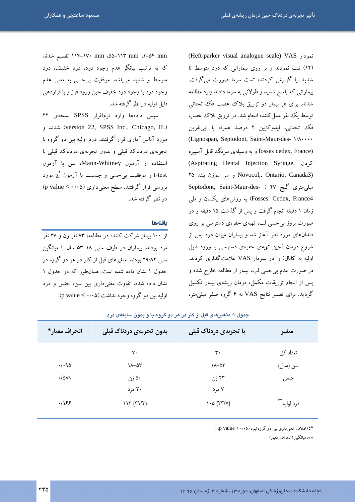الا−1۴ mm ۵۵−۱۱۳ mm ۰۵۵−۱۱۴ تقسیم شدند که به ترتیب بیانگر عدم وجود درد، درد خفیف، درد متوسط و شدید میباشد. موفقیت بیحسی به معنی عدم وجود درد يا وجود درد خفيف حين ورود فرز و يا قراردهي فابل اولیه در نظر گرفته شد. سپس دادهها وارد نرمافزار SPSS نسخهی ۲۲

(version 22, SPSS Inc., Chicago, IL) شدند و مورد آنالیز آماری قرار گرفتند. درد اولیه بین دو گروه با تجربهي دردناك قبلي و بدون تجربهي دردناك قبلي با استفاده از آزمون Mann-Whitney، سن با آزمون t-test و موفقیت بی حسی و جنسیت با آزمون  $\chi^{\rm V}$  مورد بررسی قرار گرفتند. سطح معنیداری (۵۰/۰۵ > p value) در نظر گرفته شد.

#### بافتهها

از ۱۰۰ بیمار شرکت کننده در مطالعه، ۷۳ نفر زن و ۲۷ نفر مرد بودند. بیماران در طیف سنی ۱۸–۵۳ سال با مبانگ سنمی ۲۹/۸۲ بودند. متغیرهای قبل از کار در هر دو گروه در جدول ۱ نشان داده شده است. همان طور که در جدول ۱ نشان داده شده، تفاوت معنیداری بین سن، جنس و درد اوليه بين دو گروه وجود نداشت (p value < ۰/۰۵). (Heft-parker visual analogue scale) VAS نمودار (١٢) ثبت نمودند و بر روی بیمارانی که درد متوسط تا شدید را گزارش کردند، تست سرما صورت میگرفت. بیمارانی که پاسخ شدید و طولانی به سرما دادند وارد مطالعه شدند. برای هر بیمار دو تزریق بلاک عصب فک تحتانی توسط یک نفر عمل کننده انجام شد. در تزریق بلاک عصب فك تحتاني، ليدوكايين ٢ درصد همراه با ايي نفرين (Lignospan, Septodont, Saint-Maur-des- \/A ... (fosses cedex, France و به وسیلهی سرنگ قابل آسپیره Aspirating Dental Injection Syringe, كردن Y۵ و سر سوزن بلند ۲۵ Novocol,. Ontario, Canada3) Septodont, Saint-Maur-des- ) ۲۷ گیج ۴۷ Fosses. Cedex, France4) به روشهای یکسان و طی زمان ۱ دقیقه انجام گرفت و پس از گذشت ۱۵ دقیقه و در صورت بروز بیحسی لب، تهیهی حفرهی دسترسی بر روی دندانهای مورد نظر آغاز شد و بیماران میزان درد پس از شروع درمان (حین تھیهی حفرهی دسترسی یا ورود فایل اولیه به کانال) را در نمودار VAS علامتگذاری کردند. در صورت عدم بیحسی لب، بیمار از مطالعه خارج شده و پس از انجام تزریقات مکمل، درمان ریشهی بیمار تکمیل گردید. برای تفسیر نتایج VAS به ۴ گروه صفر میلی متر،

| انحراف معيار*   | بدون تجربهی دردناک قبلی | با تجربهی دردناک قبلی         | متغير             |
|-----------------|-------------------------|-------------------------------|-------------------|
|                 | ٧٠                      | ٣٠                            | تعداد کل          |
| $\cdot/\cdot90$ | $\lambda - \Delta r$    | $\lambda - \Delta r$          | سن (سال)          |
| .7019           | ۵۰ زن                   | ۲۳ زن                         | جنس               |
|                 | ۲۰ مرد                  | ۷ مرد                         |                   |
| .199            | 117 (71/T)              | $\lambda \cdot \Delta$ (۲۳/۷) | **<br>درد اوليه ٔ |

چدول ۱: متغیر های قبل از کار در هر دو گروه یا و پدون سایقهی در د

\*: اختلاف معنیداری بین دو گروه نبود (۱۰۵× < p value) .

\*\*: مبانگین (انحراف معبار)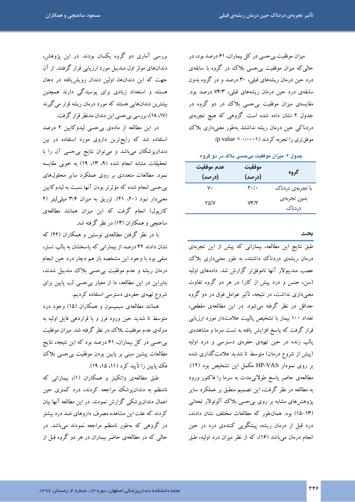میزان موفقیت بی حسی در کل بیماران، ۶۱ درصد بود، در حالی که میزان موفقیت بی حسی بلاک در گروه با سابقهی درد حین درمان ریشههای قبلی، ۳۰ درصد و در گروه بدون سابقهی درد حین درمان ریشههای قبلی، ۷۴/۳ درصد بود. مقایسهی میزان موفقیت بیحسی بلاک در دو گروه در جدول ۲ نشان داده شده است. گروهی که هیچ تجربهی دردناکی حین درمان ریشه نداشتند بهطور معنیداری بلاک موفق تری را تجربه کردند (p value < ۰/۰۰۰۱).

جدول ۲: میزان موفقیت بیحسی بلاک در دو گروه

| عدم موفقيت<br>(درصد) | موفقيت<br>(درصد)           | گروه                  |
|----------------------|----------------------------|-----------------------|
| ٧٠                   | $\mathbf{r} \cdot / \cdot$ | با تجربهی دردناک      |
| ۲۵/۷                 | $Yf/\tau$                  | بدون تجربهى<br>دردناک |

طبق نتایج این مطالعه، بیمارانی که پیش از این تجربهی درمان ریشهی دردناک داشتند، به طور معنیداری بلاک عصب منديبولار آنها ناموفقتر گزارش شد. دادههاي اوليه (سن، جنس و درد پیش از کار) در هر دو گروه تفاوت معنیداری نداشت، در نتیجه، تأثیر عوامل فوق در دو گروه حداقل در نظر گرفته میشود. در این مطالعهی مقطعی، تعداد ۱۰۰ بیمار با تشخیص پالییت علامتدار مورد ارزیابی قرار گرفت که پاسخ افزایش یافته به تست سرما و مشاهدهی پالپ زنده در حین تهیهی حفرهی دسترسی و درد اولیه (پیش از شروع درمان) متوسط تا شدید علامت گذاری شده بر روی نمودار HP-VAS مکمل این تشخیص بود (١٢). مطالعهى حاضر پاسخ طولانىمدت به سرما را فاكتور ورود به مطالعه در نظر گرفت، این تصمیم منطبق بر عملکرد سایر پژوهش های مشابه بر روی بی حسی بلاک آلوئولار تحتانی (١٣-١٥) بود. همان طور كه مطالعات مختلف نشان دادند، درد قبل از درمان ریشه، پیشگویی کنندهی درد در حین انجام درمان می باشد (۱۶)، که از نظر میزان درد اولیه، طبق

بررسی آماری دو گروه یکسان بودند. در این پژوهش، دندانهای مولر اول مندیبل مورد ارزیابی قرار گرفتند. از آن جهت که این دندانها، اولین دندان رویشیافته در دهان هستند و استعداد زیادی برای پوسیدگی دارند همچنین بیشترین دندانهایی هستند که مورد درمان ریشه قرار می گیرند (١٧، ١٨)، بررسي بيحسى اين دندان مدنظر قرار گرفت.

در این مطالعه از مادهی بیحسی لیدوکایین ۲ درصد استفاده شد که رایجترین داروی مورد استفاده در بین دندانپزشکان میباشد و میتوان نتایج بی حسی آن را با تحقیقات مشابه انجام شده (۹، ۱۳، ۱۹) به خوبی مقایسه نمود. مطالعات متعددی بر روی عملکرد سایر محلولهای بیحسی انجام شده که مؤثرتر بودن آنها نسبت به لیدوکایین معنیدار نبود (۲۰، ۲۱). تزریق به میزان ۳/۶ میلی لیتر (۲ کارپول) انجام گرفت که این میزان همانند مطالعهی ساعتچی و همکاران (۱۳) در نظر گرفته شد.

با در نظر گرفتن مطالعهی نوستین و همکاران (۲۲) که نشان دادند ۴۲ درصد از بیمارانی که پاسخشان به پالپ تستر، منفي بود با وجود اين مشخصه باز هم دچار درد حين انجام درمان ریشه و عدم موفقیت بی حسی بلاک مندیبل شدند، بنابراین در این مطالعه، ما از معیار بیحسی لب پایین برای شروع تهیهی حفرهی دسترسی استفاده کردیم.

همانند مطالعهی سیمپسون و همکاران (۱۵) وجود درد متوسط تا شدید حین ورود فرز و یا قراردهی فایل اولیه به منزلهي عدم موفقيت بلاك در نظر گرفته شد. ميزان موفقيت بی حسی در کل بیماران، ۶۱ درصد بود که این نتیجه، نتایج مطالعات پیشین مبنی بر پایین بودن موفقیت بیحسی بلاک فک پایین را تأیید کرد (۱۱، ۱۵، ۱۹).

طبق مطالعهی واتکینز و همکاران (۱)، بیمارانی که نامنظم به دندانپزشک مراجعه کردند، درد کمتری حین اعمال دندانیز شکی گزارش نمودند. در این مطالعه آنها بیان کردند که علت این مشاهده مصرف داروهای ضد درد بیشتر در گروهی که بهطور نامنظم مراجعه نمودند میباشد. در حالي كه در مطالعهي حاضر بيماران در هر دو گروه قبل از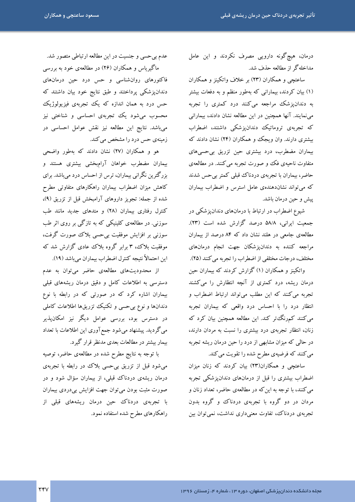درمان، هیچگونه دارویی مصرف نکردند و این عامل مداخلهگر از مطالعه حذف شد.

ساعتچی و همکاران (۲۳) بر خلاف واتکینز و همکاران (۱) بیان کردند، بیمارانی که بهطور منظم و به دفعات بیشتر به دندانپزشک مراجعه میکنند درد کمتری را تجربه مینمایند. آنها همچنین در این مطالعه نشان دادند، بیمارانی که تجربهی تروماتیک دندان پزشکی داشتند، اضطراب بیشتری دارند. وان ویجک و همکاران (۲۴) نشان دادند که بیماران مضطرب، درد بیشتری حین تزریق بیحسیهای متفاوت ناحیهی فک و صورت تجربه می کنند. در مطالعهی حاضر، بیماران با تجربهی دردناک قبلی کمتر بیحس شدند که میتواند نشاندهندهی عامل استرس و اضطراب بیماران يبش و حين درمان باشد.

شیوع اضطراب در ارتباط با درمانهای دندانپزشکی در جمعیت ایرانی، ۵۸/۸ درصد گزارش شده است (۲۳). مطالعهی جامعی در هلند نشان داد که ۸۴ درصد از بیماران مراجعه کننده به دندانیزشکان جهت انجام درمانهای مختلف، درجات مختلفی از اضطراب را تجربه می کنند (۲۵).

واتکینز و همکاران (۱) گزارش کردند که بیماران حین درمان ریشه، درد کمتری از آنچه انتظارش را میکشند تجربه می کنند که این مطلب می تواند ارتباط اضطراب و انتظار درد را با احساس درد واقعی که بیماران تجربه می کنند کمرنگ تر کند. این مطالعه همچنین بیان کرد که زنان، انتظار تجربهى درد بيشترى را نسبت به مردان دارند، در حالی که میزان مشابهی از درد را حین درمان ریشه تجربه می کنند که فرضیهی مطرح شده را تقویت می کند.

ساعتچی و همکاران(۲۳) بیان کردند که زنان میزان اضطراب بیشتری را قبل از درمانهای دندانپزشکی تجربه مي کنند، با توجه به اين که در مطالعهي حاضر، تعداد زنان و مردان در دو گروه با تجربهی دردناک و گروه بدون تجربهی دردناک، تفاوت معنیداری نداشت، نمی توان بین

عدم بی حسی و جنسیت در این مطالعه ارتباطی متصور شد.

ماگیریاس و همکاران (۲۶) در مطالعهی خود به بررسی فاکتورهای روانشناسی و حس درد حین درمانهای دندانپزشکی پرداختند و طبق نتایج خود بیان داشتند که حس درد به همان اندازه که یک تجربهی فیزیولوژیک محسوب میشود یک تجربهی احساسی و شناختی نیز میباشد. نتایج این مطالعه نیز نقش عوامل احساسی در زمینهی حس درد را مشخص می کند.

هو و همکاران (۲۷) نشان دادند که بهطور واضحی بیماران مضطرب خواهان آرامبخشی بیشتری هستند و بزرگترین نگرانی بیماران، ترس از احساس درد میباشد. برای کاهش میزان اضطراب بیماران راهکارهای متفاوتی مطرح شده از جمله: تجویز داروهای آرامبخش قبل از تزریق (۹)، کنترل رفتاری بیماران (۲۸) و متدهای جدید مانند طب سوزني. در مطالعهي کلینیکې که به تازگې بر روی اثر طب سوزنی بر افزایش موفقیت بی حسی بلاک صورت گرفت، موفقیت بلاک، ۳ برابر گروه بلاک عادی گزارش شد که این احتمالاً نتبجه کنترل اضطراب بیماران می باشد (١٩).

از محدودیتهای مطالعهی حاضر می توان به عدم دسترسی به اطلاعات کامل و دقیق درمان ریشههای قبلی بیماران اشاره کرد که در صورتی که در رابطه با نوع دندانها و نوع بی حسی و تکنیک تزریقها اطلاعات کاملی در دسترس بود، بررسی عوامل دیگر نیز امکانپذیر میگردید. پیشنهاد میشود جمع آوری این اطلاعات با تعداد بیمار بیشتر در مطالعات بعدی مدنظر قرار گیرد.

با توجه به نتایج مطرح شده در مطالعهی حاضر، توصیه میشود قبل از تزریق بیحسی بلاک در رابطه با تجربهی درمان ریشهی دردناک قبلی، از بیماران سؤال شود و در صورت مثبت بودن می توان جهت افزایش بیدردی بیماران با تجربهی دردناک حین درمان ریشههای قبلی از راهکارهای مطرح شده استفاده نمود.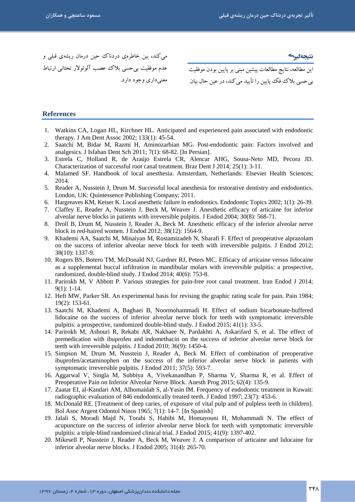=#D4 "#/ R "##/ T G6 y, - G6 " ÄR ,K LMG8 B@ JN 3\$ =#D4 < میکند، بین خاطرهی دردناک حین درمان ریشهی قبلی و معنىداري وجود دارد.

نتيجەگىير<del>ك</del>

بي حسى بلاك فك يابين را تأييد مي كند، در عين حال بيان

### **References**

- 1. Watkins CA, Logan HL, Kirchner HL. Anticipated and experienced pain associated with endodontic therapy. J Am Dent Assoc 2002; 133(1): 45-54.
- 2. Saatchi M, Bidar M, Razmi H, Aminozarbian MG. Post-endodontic pain: Factors involved and analgesics. J Isfahan Dent Sch 2011; 7(1): 68-82. [In Persian].
- 3. Estrela C, Holland R, de Araújo Estrela CR, Alencar AHG, Sousa-Neto MD, Pecora JD. Characterization of successful root canal treatment. Braz Dent J 2014; 25(1): 3-11.
- 4. Malamed SF. Handbook of local anesthesia. Amsterdam, Netherlands: Elsevier Health Sciences; 2014.
- 5. Reader A, Nusstein J, Drum M. Successful local anesthesia for restorative dentistry and endodontics. London, UK: Quintessence Publishing Company; 2011.
- 6. Hargreaves KM, Keiser K. Local anesthetic failure in endodontics. Endodontic Topics 2002; 1(1): 26-39.
- 7. Claffey E, Reader A, Nusstein J, Beck M, Weaver J. Anesthetic efficacy of articaine for inferior alveolar nerve blocks in patients with irreversible pulpitis. J Endod 2004; 30(8): 568-71.
- 8. Droll B, Drum M, Nusstein J, Reader A, Beck M. Anesthetic efficacy of the inferior alveolar nerve block in red-haired women. J Endod 2012; 38(12): 1564-9.
- 9. Khademi AA, Saatchi M, Minaiyan M, Rostamizadeh N, Sharafi F. Effect of preoperative alprazolam on the success of inferior alveolar nerve block for teeth with irreversible pulpitis. J Endod 2012; 38(10): 1337-9.
- 10. Rogers BS, Botero TM, McDonald NJ, Gardner RJ, Peters MC. Efficacy of articaine versus lidocaine as a supplemental buccal infiltration in mandibular molars with irreversible pulpitis: a prospective, randomized, double-blind study. J Endod 2014; 40(6): 753-8.
- 11. Parirokh M, V Abbott P. Various strategies for pain-free root canal treatment. Iran Endod J 2014; 9(1): 1-14.
- 12. Heft MW, Parker SR. An experimental basis for revising the graphic rating scale for pain. Pain 1984; 19(2): 153-61.
- 13. Saatchi M, Khademi A, Baghaei B, Noormohammadi H. Effect of sodium bicarbonate-buffered lidocaine on the success of inferior alveolar nerve block for teeth with symptomatic irreversible pulpitis: a prospective, randomized double-blind study. J Endod 2015; 41(1): 33-5.
- 14. Parirokh M, Ashouri R, Rekabi AR, Nakhaee N, Pardakhti A, Askarifard S, et al. The effect of premedication with ibuprofen and indomethacin on the success of inferior alveolar nerve block for teeth with irreversible pulpitis. J Endod 2010; 36(9): 1450-4.
- 15. Simpson M, Drum M, Nusstein J, Reader A, Beck M. Effect of combination of preoperative ibuprofen/acetaminophen on the success of the inferior alveolar nerve block in patients with symptomatic irreversible pulpitis. J Endod 2011; 37(5): 593-7.
- 16. Aggarwal V, Singla M, Subbiya A, Vivekanandhan P, Sharma V, Sharma R, et al. Effect of Preoperative Pain on Inferior Alveolar Nerve Block. Anesth Prog 2015; 62(4): 135-9.
- 17. Zaatar EI, al-Kandari AM, Alhomaidah S, al-Yasin IM. Frequency of endodontic treatment in Kuwait: radiographic evaluation of 846 endodontically treated teeth. J Endod 1997; 23(7): 453-6.
- 18. McDonald RE. [Treatment of deep caries, of exposure of vital pulp and of pulpless teeth in children]. Bol Asoc Argent Odontol Ninos 1965; 7(1): 14-7. [In Spanish]
- 19. Jalali S, Moradi Majd N, Torabi S, Habibi M, Homayouni H, Mohammadi N. The effect of acupuncture on the success of inferior alveolar nerve block for teeth with symptomatic irreversible pulpitis: a triple-blind randomized clinical trial. J Endod 2015; 41(9): 1397-402.
- 20. Mikesell P, Nusstein J, Reader A, Beck M, Weaver J. A comparison of articaine and lidocaine for inferior alveolar nerve blocks. J Endod 2005; 31(4): 265-70.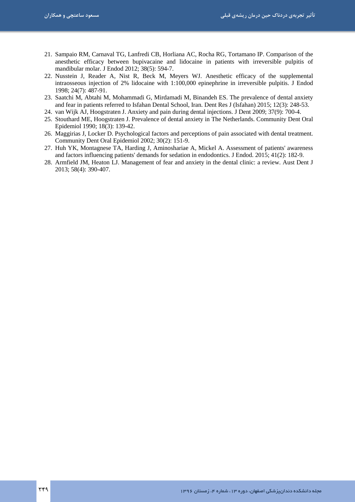- 21. Sampaio RM, Carnaval TG, Lanfredi CB, Horliana AC, Rocha RG, Tortamano IP. Comparison of the anesthetic efficacy between bupivacaine and lidocaine in patients with irreversible pulpitis of mandibular molar. J Endod 2012; 38(5): 594-7.
- 22. Nusstein J, Reader A, Nist R, Beck M, Meyers WJ. Anesthetic efficacy of the supplemental intraosseous injection of 2% lidocaine with 1:100,000 epinephrine in irreversible pulpitis. J Endod 1998; 24(7): 487-91.
- 23. Saatchi M, Abtahi M, Mohammadi G, Mirdamadi M, Binandeh ES. The prevalence of dental anxiety and fear in patients referred to Isfahan Dental School, Iran. Dent Res J (Isfahan) 2015; 12(3): 248-53.
- 24. van Wijk AJ, Hoogstraten J. Anxiety and pain during dental injections. J Dent 2009; 37(9): 700-4.
- 25. Stouthard ME, Hoogstraten J. Prevalence of dental anxiety in The Netherlands. Community Dent Oral Epidemiol 1990; 18(3): 139-42.
- 26. Maggirias J, Locker D. Psychological factors and perceptions of pain associated with dental treatment. Community Dent Oral Epidemiol 2002; 30(2): 151-9.
- 27. Huh YK, Montagnese TA, Harding J, Aminoshariae A, Mickel A. Assessment of patients' awareness and factors influencing patients' demands for sedation in endodontics. J Endod. 2015; 41(2): 182-9.
- 28. Armfield JM, Heaton LJ. Management of fear and anxiety in the dental clinic: a review. Aust Dent J 2013; 58(4): 390-407.